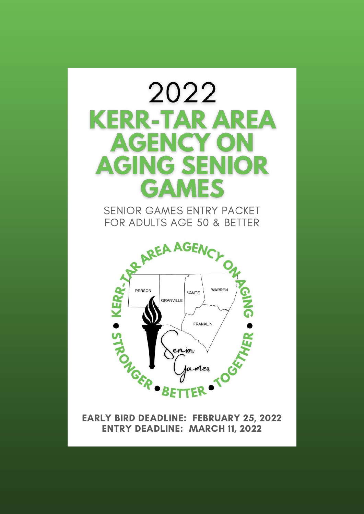

ENTRY DEADLINE: MARCH 11, 2022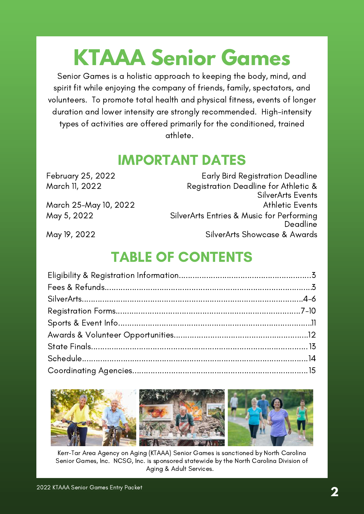## **KTAAA Senior Games**

Senior Games is a holistic approach to keeping the body, mind, and spirit fit while enjoying the company of friends, family, spectators, and volunteers. To promote total health and physical fitness, events of longer duration and lower intensity are strongly recommended. High-intensity types of activities are offered primarily for the conditioned, trained athlete.

## IMPORTANT DATES

| February 25, 2022     | <b>Early Bird Registration Deadline</b>   |
|-----------------------|-------------------------------------------|
| March 11, 2022        | Registration Deadline for Athletic &      |
|                       | <b>SilverArts Events</b>                  |
| March 25-May 10, 2022 | <b>Athletic Events</b>                    |
| May 5, 2022           | SilverArts Entries & Music for Performing |
|                       | Deadline                                  |
| May 19, 2022          | SilverArts Showcase & Awards              |
|                       |                                           |

## TABLE OF CONTENTS



Kerr-Tar Area Agency on Aging (KTAAA) Senior Games is sanctioned by North Carolina Senior Games, Inc. NCSG, Inc. is sponsored statewide by the North Carolina Division of Aging & Adult Services.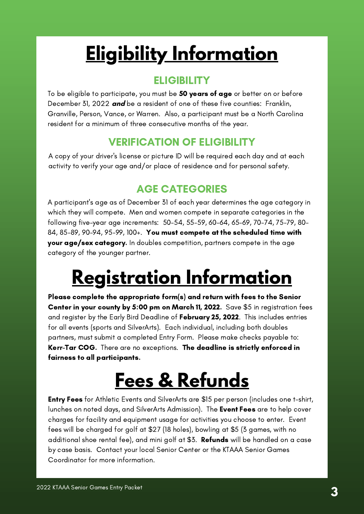## <span id="page-2-0"></span>**Eligibility Information**

### **ELIGIBILITY**

To be eligible to participate, you must be 50 years of age or better on or before December 31, 2022 **and** be a resident of one of these five counties: Franklin, Granville, Person, Vance, or Warren. Also, a participant must be a North Carolina resident for a minimum of three consecutive months of the year.

### VERIFICATION OF ELIGIBILITY

A copy of your driver's license or picture ID will be required each day and at each activity to verify your age and/or place of residence and for personal safety.

### AGE CATEGORIES

A participant's age as of December 31 of each year determines the age category in which they will compete. Men and women compete in separate categories in the following five-year age increments: 50-54, 55-59, 60-64, 65-69, 70-74, 75-79, 80- 84, 85-89, 90-94, 95-99, 100+. You must compete at the scheduled time with your age/sex category. In doubles competition, partners compete in the age category of the younger partner.

## **Registration Information**

Please complete the appropriate form(s) and return with fees to the Senior Center in your county by 5:00 pm on March 11, 2022. Save \$5 in registration fees and register by the Early Bird Deadline of February 25, 2022. This includes entries for all events (sports and SilverArts). Each individual, including both doubles partners, must submit a completed Entry Form. Please make checks payable to: Kerr-Tar COG. There are no exceptions. The deadline is strictly enforced in fairness to all participants.

## **Fees & Refunds**

Entry Fees for Athletic Events and SilverArts are \$15 per person (includes one t-shirt, lunches on noted days, and SilverArts Admission). The Event Fees are to help cover charges for facility and equipment usage for activities you choose to enter. Event fees will be charged for golf at \$27 (18 holes), bowling at \$5 (3 games, with no additional shoe rental fee), and mini golf at \$3. **Refunds** will be handled on a case by case basis. Contact your local Senior Center or the KTAAA Senior Games Coordinator for more information.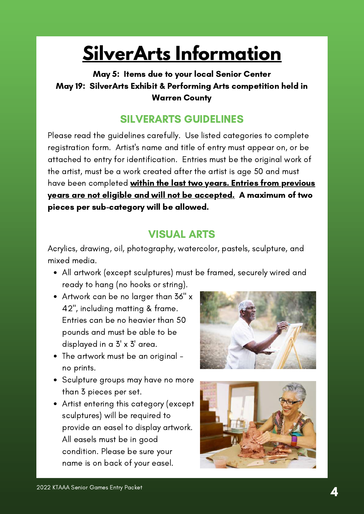## **SilverArts Information**

### <span id="page-3-0"></span>May 5: Items due to your local Senior Center May 19: SilverArts Exhibit & Performing Arts competition held in Warren County

### SILVERARTS GUIDELINES

Please read the guidelines carefully. Use listed categories to complete registration form. Artist's name and title of entry must appear on, or be attached to entry for identification. Entries must be the original work of the artist, must be a work created after the artist is age 50 and must have been completed within the last two years. Entries from previous years are not eligible and will not be accepted. A maximum of two pieces per sub-category will be allowed.

### VISUAL ARTS

Acrylics, drawing, oil, photography, watercolor, pastels, sculpture, and mixed media.

- All artwork (except sculptures) must be framed, securely wired and ready to hang (no hooks or string).
- Artwork can be no larger than 36" x 42", including matting & frame. Entries can be no heavier than 50 pounds and must be able to be displayed in a 3' x 3' area.
- The artwork must be an original no prints.
- Sculpture groups may have no more than 3 pieces per set.
- Artist entering this category (except sculptures) will be required to provide an easel to display artwork. All easels must be in good condition. Please be sure your name is on back of your easel.



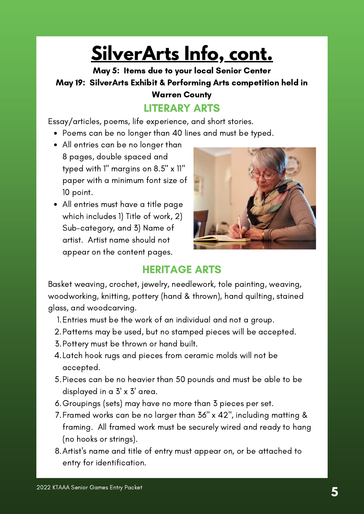## **SilverArts Info, cont.**

May 5: Items due to your local Senior Center May 19: SilverArts Exhibit & Performing Arts competition held in Warren County

### LITERARY ARTS

Essay/articles, poems, life experience, and short stories.

- Poems can be no longer than 40 lines and must be typed.
- All entries can be no longer than 8 pages, double spaced and typed with 1" margins on 8.5" x 11" paper with a minimum font size of 10 point.
- All entries must have a title page which includes 1) Title of work, 2) Sub-category, and 3) Name of artist. Artist name should not appear on the content pages.



### HERITAGE ARTS

Basket weaving, crochet, jewelry, needlework, tole painting, weaving, woodworking, knitting, pottery (hand & thrown), hand quilting, stained glass, and woodcarving.

- Entries must be the work of an individual and not a group. 1.
- 2. Patterns may be used, but no stamped pieces will be accepted.
- 3. Pottery must be thrown or hand built.
- Latch hook rugs and pieces from ceramic molds will not be 4. accepted.
- Pieces can be no heavier than 50 pounds and must be able to be 5. displayed in a 3' x 3' area.
- 6.Groupings (sets) may have no more than 3 pieces per set.
- Framed works can be no larger than 36" x 42", including matting & 7. framing. All framed work must be securely wired and ready to hang (no hooks or strings).
- Artist's name and title of entry must appear on, or be attached to 8. entry for identification.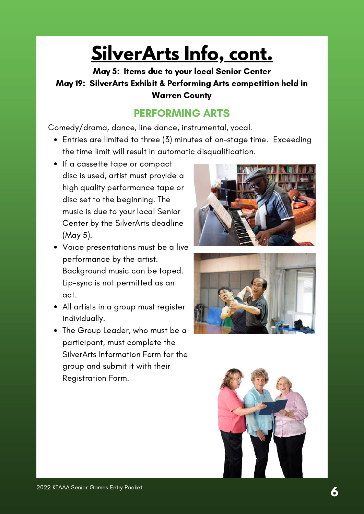## **SilverArts Info, cont.**

May 5: Items due to your local Senior Center May 19: SilverArts Exhibit & Performing Arts competition held in Warren County

### PERFORMING ARTS

Comedy/drama, dance, line dance, instrumental, vocal.

- Entries are limited to three (3) minutes of on-stage time. Exceeding the time limit will result in automatic disqualification.
- If a cassette tape or compact disc is used, artist must provide a high quality performance tape or disc set to the beginning. The music is due to your local Senior Center by the SilverArts deadline (May 5).
- Voice presentations must be a live performance by the artist. Background music can be taped. Lip-sync is not permitted as an act.
- All artists in a group must register individually.
- The Group Leader, who must be a participant, must complete the SilverArts Information Form for the group and submit it with their Registration Form.





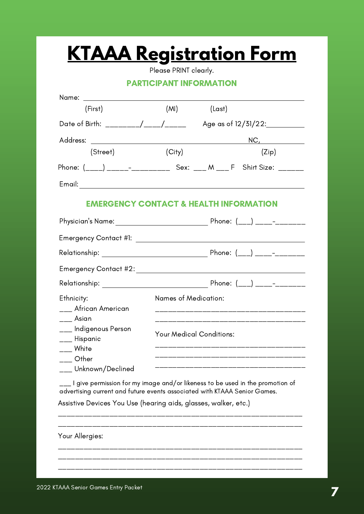Please PRINT clearly.

#### PARTICIPANT INFORMATION

<span id="page-6-0"></span>

| Name: _______________________                                             |                                 |                                                                               |  |
|---------------------------------------------------------------------------|---------------------------------|-------------------------------------------------------------------------------|--|
| (First)                                                                   | (MI)                            | (Last)                                                                        |  |
| Date of Birth: ________/____/_____                                        |                                 | Age as of $12/51/22$ :                                                        |  |
|                                                                           |                                 | <u>NC, ____________</u>                                                       |  |
| (Street)                                                                  | (City)                          | (Zip)                                                                         |  |
|                                                                           |                                 | Phone: (____) ______-_____________ Sex: ____ M ____ F Shirt Size: _______     |  |
|                                                                           |                                 |                                                                               |  |
|                                                                           |                                 | <b>EMERGENCY CONTACT &amp; HEALTH INFORMATION</b>                             |  |
|                                                                           |                                 |                                                                               |  |
|                                                                           |                                 |                                                                               |  |
|                                                                           |                                 |                                                                               |  |
|                                                                           |                                 |                                                                               |  |
|                                                                           |                                 |                                                                               |  |
| Ethnicity:                                                                | <b>Names of Medication:</b>     |                                                                               |  |
| ___ African American<br>Asian                                             |                                 |                                                                               |  |
| <sub>___</sub> Indigenous Person                                          | <b>Your Medical Conditions:</b> |                                                                               |  |
| <sub>___</sub> Hispanic<br>___ White                                      |                                 | ______________________________                                                |  |
| Other                                                                     |                                 |                                                                               |  |
| __ Unknown/Declined                                                       |                                 |                                                                               |  |
| advertising current and future events associated with KTAAA Senior Games. |                                 | I give permission for my image and/or likeness to be used in the promotion of |  |
| Assistive Devices You Use (hearing aids, glasses, walker, etc.)           |                                 |                                                                               |  |
|                                                                           |                                 |                                                                               |  |
|                                                                           |                                 |                                                                               |  |
| Your Allergies:                                                           |                                 |                                                                               |  |
|                                                                           |                                 |                                                                               |  |
|                                                                           |                                 |                                                                               |  |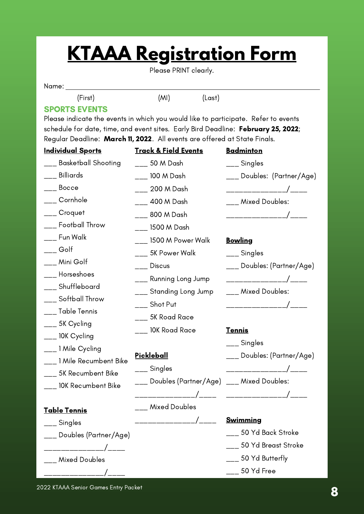Please PRINT clearly.

#### Name:

(First) (MI) (Last)

### SPORTS EVENTS

Please indicate the events in which you would like to participate. Refer to events schedule for date, time, and event sites. Early Bird Deadline: February 25, 2022; Regular Deadline: March 11, 2022. All events are offered at State Finals.

| <b>Individual Sports</b>      | <u>Track &amp; Field Events</u> | <b>Badminton</b>                  |
|-------------------------------|---------------------------------|-----------------------------------|
| ___ Basketball Shooting       | ___ 50 M Dash                   | ___ Singles                       |
| ___ Billiards                 | $\frac{1}{2}$ 100 M Dash        | ___ Doubles: (Partner/Age)        |
| ___ Bocce                     | ___ 200 M Dash                  | ______________/____               |
| ___ Cornhole                  | ___ 400 M Dash                  | ___ Mixed Doubles:                |
| ___ Croquet                   | ___ 800 M Dash                  | _______________/____              |
| ___ Football Throw            | ___ 1500 M Dash                 |                                   |
| ___ Fun Walk                  | $\frac{1}{2}$ 1500 M Power Walk | <b>Bowling</b>                    |
| $\overline{\phantom{a}}$ Golf | ___ 5K Power Walk               | ___ Singles                       |
| <sub>___</sub> Mini Golf      | $\frac{1}{2}$ Discus            | ___ Doubles: (Partner/Age)        |
| <sub>___</sub> _ Horseshoes   | ___ Running Long Jump           | _______________/____              |
| ___ Shuffleboard              | ___ Standing Long Jump          | ___ Mixed Doubles:                |
| ___ Softball Throw            | $\frac{1}{1}$ Shot Put          | _______________/____              |
| <sub>___</sub> Table Tennis   | ___ 5K Road Race                |                                   |
| ___ 5K Cycling                | ___ 10K Road Race               | <b>Tennis</b>                     |
| <sub>___</sub> 10K Cycling    |                                 | $\frac{1}{1}$ Singles             |
| ___ 1 Mile Cycling            | <b>Pickleball</b>               |                                   |
| ___ 1 Mile Recumbent Bike     |                                 | ___ Doubles: (Partner/Age)        |
| ___ 5K Recumbent Bike         | ___ Singles                     |                                   |
| ___ 10K Recumbent Bike        |                                 |                                   |
|                               |                                 |                                   |
| Table Tennis                  | ___ Mixed Doubles               |                                   |
| <sub>__</sub> _ Singles       |                                 | <b>Swimming</b>                   |
| Doubles (Partner/Age)         |                                 | $\frac{1}{100}$ 50 Yd Back Stroke |
|                               |                                 | ___ 50 Yd Breast Stroke           |
| <b>Mixed Doubles</b>          |                                 | ___ 50 Yd Butterfly               |
|                               |                                 | 50 Yd Free                        |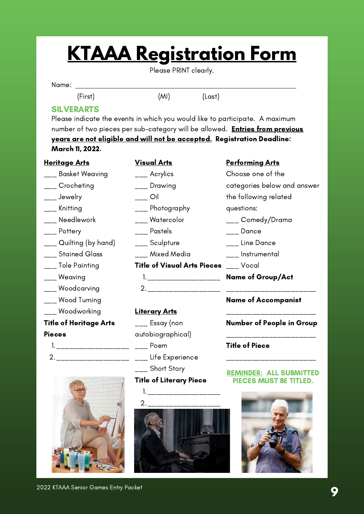Please PRINT clearly.

Name:

(First) (MI) (Last)

### SILVERARTS

Please indicate the events in which you would like to participate. A maximum number of two pieces per sub-category will be allowed. **Entries from previous** years are not eligible and will not be accepted. Registration Deadline: March 11, 2022.

> Visual Arts \_\_\_ Acrylics

#### **Heritage Arts**

- \_\_\_ Basket Weaving
- \_\_\_ Crocheting
- \_\_\_ Jewelry
- \_\_\_ Knitting
- \_\_\_ Needlework
- \_\_\_ Pottery
- \_\_\_ Quilting (by hand)
- \_\_\_ Stained Glass
- \_\_\_ Tole Painting
- \_\_\_ Weaving
- \_\_\_ Woodcarving
- \_\_\_ Wood Turning
- \_\_\_ Woodworking

#### Title of Heritage Arts

#### **Pieces**

- 
- 



1. \_\_\_\_\_\_\_\_\_\_\_\_\_\_\_\_\_\_ Name of Group/Act \_\_\_ Drawing  $\overline{\phantom{a}}$  Oil \_\_\_ Photography \_\_\_ Watercolor \_\_\_ Pastels \_\_\_ Sculpture \_\_\_ Mixed Media **Title of Visual Arts Pieces** \_\_\_ Vocal

\_\_\_\_\_\_\_\_\_\_\_\_\_\_\_\_\_ 2. \_\_\_\_\_\_\_\_\_\_\_\_\_\_\_\_\_\_\_\_\_

#### **Literary Arts**

1. \_\_\_\_\_\_\_\_\_\_\_\_\_\_\_\_\_\_\_\_\_\_ \_\_\_\_ Poem 2.\_\_\_\_\_\_\_\_\_\_\_\_\_\_\_\_\_\_\_\_\_ \_\_\_\_ Life Experience  $\overline{\phantom{a}}$  Essay (non autobiographical) \_\_\_ Short Story

#### Title of Literary Piece

1. \_\_\_\_\_\_\_\_\_\_\_\_\_\_\_\_\_\_\_\_\_\_\_ \_\_\_\_\_\_\_\_\_\_\_\_\_\_\_\_\_\_\_\_\_ 2.

#### Performing Arts

- Choose one of the categories below and answer the following related questions: \_\_\_ Comedy/Drama
- \_\_\_ Dance
- \_\_\_ Line Dance
- \_\_\_ Instrumental
- 
- 

#### Name of Accompanist

\_\_\_\_\_\_\_\_\_\_\_\_\_\_\_\_\_\_\_\_\_ Number of People in Group

\_\_\_\_\_\_\_\_\_\_\_\_\_\_\_\_\_\_\_\_\_

\_\_\_\_\_\_\_\_\_\_\_\_\_\_\_\_\_\_\_\_\_

#### Title of Piece

#### REMINDER: ALL SUBMITTED PIECES MUST BE TITLED.

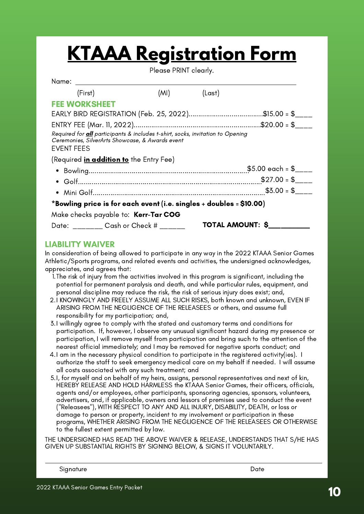Please PRINT clearly.

| Name: _________________________                                                                                                                               |      |        |                  |
|---------------------------------------------------------------------------------------------------------------------------------------------------------------|------|--------|------------------|
| (First)                                                                                                                                                       | (MI) | (Last) |                  |
| <b>FEE WORKSHEET</b>                                                                                                                                          |      |        |                  |
|                                                                                                                                                               |      |        |                  |
|                                                                                                                                                               |      |        |                  |
| Required for <b>all</b> participants & includes t-shirt, socks, invitation to Opening<br>Ceremonies, SilverArts Showcase, & Awards event<br><b>EVENT FEES</b> |      |        |                  |
| (Required <i>in addition to</i> the Entry Fee)                                                                                                                |      |        |                  |
|                                                                                                                                                               |      |        |                  |
|                                                                                                                                                               |      |        | $$27.00 = $$     |
|                                                                                                                                                               |      |        | $$3.00 = $$      |
| *Bowling price is for each event (i.e. singles + doubles = \$10.00)                                                                                           |      |        |                  |
| Make checks payable to: <b>Kerr-Tar COG</b>                                                                                                                   |      |        |                  |
| Date: Cash or Check #                                                                                                                                         |      |        | TOTAL AMOUNT: \$ |
|                                                                                                                                                               |      |        |                  |

#### LIABILITY WAIVER

In consideration of being allowed to participate in any way in the 2022 KTAAA Senior Games Athletic/Sports programs, and related events and activities, the undersigned acknowledges, appreciates, and agrees that:

- The risk of injury from the activities involved in this program is significant, including the 1. potential for permanent paralysis and death, and while particular rules, equipment, and personal discipline may reduce the risk, the risk of serious injury does exist; and,
- 2.I KNOWINGLY AND FREELY ASSUME ALL SUCH RISKS, both known and unknown, EVEN IF ARISING FROM THE NEGLIGENCE OF THE RELEASEES or others, and assume full responsibility for my participation; and,
- I willingly agree to comply with the stated and customary terms and conditions for 3. participation. If, however, I observe any unusual significant hazard during my presence or participation, I will remove myself from participation and bring such to the attention of the nearest official immediately; and I may be removed for negative sports conduct; and
- 4.I am in the necessary physical condition to participate in the registered activity(ies). I authorize the staff to seek emergency medical care on my behalf if needed. I will assume all costs associated with any such treatment; and
- I, for myself and on behalf of my heirs, assigns, personal representatives and next of kin, 5. HEREBY RELEASE AND HOLD HARMLESS the KTAAA Senior Games, their officers, officials, agents and/or employees, other participants, sponsoring agencies, sponsors, volunteers, advertisers, and, if applicable, owners and lessors of premises used to conduct the event ("Releasees"), WITH RESPECT TO ANY AND ALL INJURY, DISABILITY, DEATH, or loss or damage to person or property, incident to my involvement or participation in these programs, WHETHER ARISING FROM THE NEGLIGENCE OF THE RELEASEES OR OTHERWISE to the fullest extent permitted by law.

THE UNDERSIGNED HAS READ THE ABOVE WAIVER & RELEASE, UNDERSTANDS THAT S/HE HAS GIVEN UP SUBSTANTIAL RIGHTS BY SIGNING BELOW, & SIGNS IT VOLUNTARILY.

Signature Date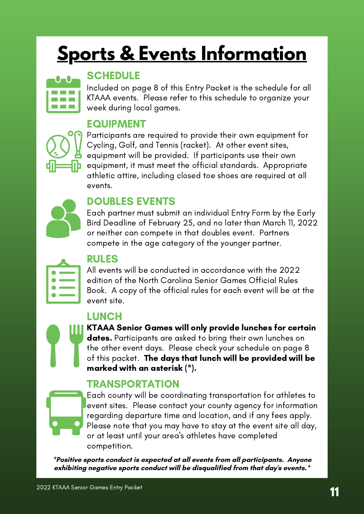## <span id="page-10-0"></span>**Sports & Events Information**



### **SCHEDULE**

Included on page 8 of this Entry Packet is the schedule for all KTAAA events. Please refer to this schedule to organize your week during local games.

### EQUIPMENT



Participants are required to provide their own equipment for Cycling, Golf, and Tennis (racket). At other event sites, equipment will be provided. If participants use their own equipment, it must meet the official standards. Appropriate athletic attire, including closed toe shoes are required at all events.

### DOUBLES EVENTS

Each partner must submit an individual Entry Form by the Early Bird Deadline of February 25, and no later than March 11, 2022 or neither can compete in that doubles event. Partners compete in the age category of the younger partner.

| <u>a sa san</u> |  |  |
|-----------------|--|--|
| n.              |  |  |
|                 |  |  |
|                 |  |  |

### RULES

All events will be conducted in accordance with the 2022 edition of the North Carolina Senior Games Official Rules Book. A copy of the official rules for each event will be at the event site.

### LUNCH

KTAAA Senior Games will only provide lunches for certain dates. Participants are asked to bring their own lunches on the other event days. Please check your schedule on page 8 of this packet. The days that lunch will be provided will be marked with an asterisk (\*).

### TRANSPORTATION

Each county will be coordinating transportation for athletes to event sites. Please contact your county agency for information regarding departure time and location, and if any fees apply. Please note that you may have to stay at the event site all day, or at least until your area's athletes have completed competition.

**\*Positive sports conduct is expected at all events from all participants. Anyone exhibiting negative sports conduct will be disqualified from that day's events.\***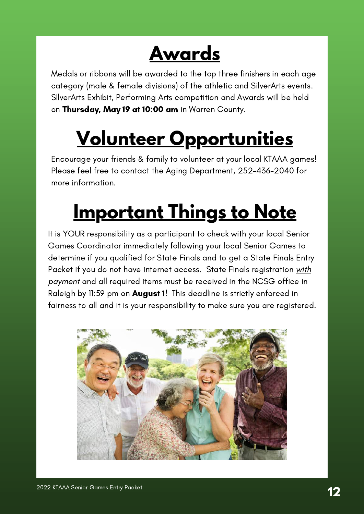## **Awards**

<span id="page-11-0"></span>Medals or ribbons will be awarded to the top three finishers in each age category (male & female divisions) of the athletic and SilverArts events. SIlverArts Exhibit, Performing Arts competition and Awards will be held on Thursday, May 19 at 10:00 am in Warren County.

# **Volunteer Opportunities**

Encourage your friends & family to volunteer at your local KTAAA games! Please feel free to contact the Aging Department, 252-436-2040 for more information.

## **Important Things to Note**

It is YOUR responsibility as a participant to check with your local Senior Games Coordinator immediately following your local Senior Games to determine if you qualified for State Finals and to get a State Finals Entry Packet if you do not have internet access. State Finals registration with <u>payment</u> and all required items must be received in the NCSG office in Raleigh by 11:59 pm on **August 1**! This deadline is strictly enforced in fairness to all and it is your responsibility to make sure you are registered.

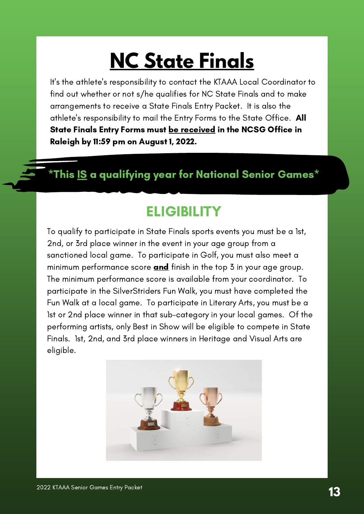## **NC State Finals**

<span id="page-12-0"></span>It's the athlete's responsibility to contact the KTAAA Local Coordinator to find out whether or not s/he qualifies for NC State Finals and to make arrangements to receive a State Finals Entry Packet. It is also the athlete's responsibility to mail the Entry Forms to the State Office. All State Finals Entry Forms must be received in the NCSG Office in Raleigh by 11:59 pm on August 1, 2022.

### \*This IS a qualifying year for National Senior Games\*

### **ELIGIBILITY**

To qualify to participate in State Finals sports events you must be a 1st, 2nd, or 3rd place winner in the event in your age group from a sanctioned local game. To participate in Golf, you must also meet a minimum performance score **and** finish in the top  $\overline{3}$  in your age group. The minimum performance score is available from your coordinator. To participate in the SilverStriders Fun Walk, you must have completed the Fun Walk at a local game. To participate in Literary Arts, you must be a 1st or 2nd place winner in that sub-category in your local games. Of the performing artists, only Best in Show will be eligible to compete in State Finals. 1st, 2nd, and 3rd place winners in Heritage and Visual Arts are eligible.

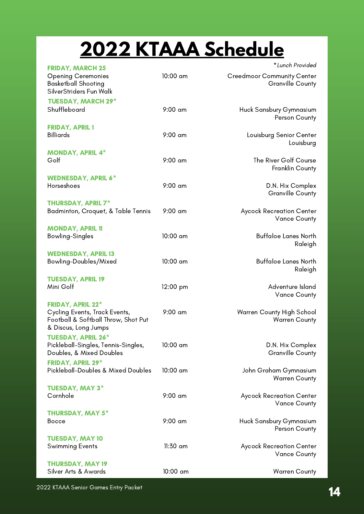## **2022 KTAAA Schedule**

<span id="page-13-0"></span>

| <b>FRIDAY, MARCH 25</b>                                                                      |            | *Lunch Provided                                        |
|----------------------------------------------------------------------------------------------|------------|--------------------------------------------------------|
| <b>Opening Ceremonies</b><br><b>Basketball Shooting</b><br>SilverStriders Fun Walk           | $10:00$ am | <b>Creedmoor Community Center</b><br>Granville County  |
| <b>TUESDAY, MARCH 29*</b>                                                                    |            |                                                        |
| Shuffleboard                                                                                 | $9:00$ am  | Huck Sansbury Gymnasium<br>Person County               |
| <b>FRIDAY, APRIL 1</b>                                                                       |            |                                                        |
| <b>Billiards</b>                                                                             | $9:00$ am  | Louisburg Senior Center<br>Louisburg                   |
| <b>MONDAY, APRIL 4*</b>                                                                      |            |                                                        |
| Golf                                                                                         | $9:00$ am  | The River Golf Course<br>Franklin County               |
| <b>WEDNESDAY, APRIL 6*</b>                                                                   |            |                                                        |
| Horseshoes                                                                                   | $9:00$ am  | D.N. Hix Complex<br><b>Granville County</b>            |
| <b>THURSDAY, APRIL 7*</b>                                                                    |            |                                                        |
| Badminton, Croquet, & Table Tennis                                                           | $9:00$ am  | <b>Aycock Recreation Center</b><br><b>Vance County</b> |
| <b>MONDAY, APRIL 11</b>                                                                      |            |                                                        |
| Bowling-Singles                                                                              | 10:00 am   | <b>Buffaloe Lanes North</b><br>Raleigh                 |
| <b>WEDNESDAY, APRIL 13</b>                                                                   |            |                                                        |
| Bowling-Doubles/Mixed                                                                        | $10:00$ am | <b>Buffaloe Lanes North</b><br>Raleigh                 |
| <b>TUESDAY, APRIL 19</b>                                                                     |            |                                                        |
| Mini Golf                                                                                    | 12:00 pm   | Adventure Island<br>Vance County                       |
| <b>FRIDAY, APRIL 22*</b>                                                                     |            |                                                        |
| Cycling Events, Track Events,<br>Football & Softball Throw, Shot Put<br>& Discus, Long Jumps | $9:00$ am  | Warren County High School<br><b>Warren County</b>      |
| <b>TUESDAY, APRIL 26*</b>                                                                    |            |                                                        |
| Pickleball-Singles, Tennis-Singles,<br>Doubles, & Mixed Doubles                              | 10:00 am   | D.N. Hix Complex<br><b>Granville County</b>            |
| <b>FRIDAY, APRIL 29*</b>                                                                     |            |                                                        |
| Pickleball-Doubles & Mixed Doubles                                                           | $10:00$ am | John Graham Gymnasium<br><b>Warren County</b>          |
| <b>TUESDAY, MAY 3*</b>                                                                       |            |                                                        |
| Cornhole                                                                                     | $9:00$ am  | Aycock Recreation Center<br>Vance County               |
| <b>THURSDAY, MAY 5*</b>                                                                      |            |                                                        |
| <b>Bocce</b>                                                                                 | 9:00 am    | Huck Sansbury Gymnasium<br>Person County               |
| <b>TUESDAY, MAY 10</b>                                                                       |            |                                                        |
| <b>Swimming Events</b>                                                                       | $11:30$ am | Aycock Recreation Center<br>Vance County               |
| <b>THURSDAY, MAY 19</b>                                                                      |            |                                                        |
| Silver Arts & Awards                                                                         | $10:00$ am | Warren County                                          |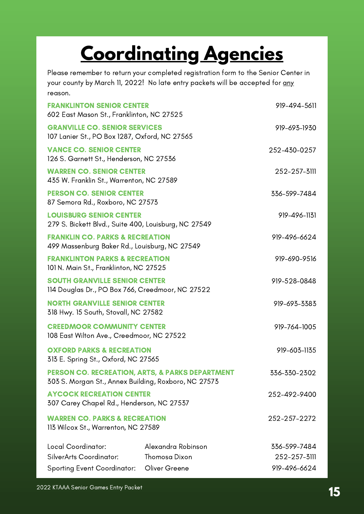## **Coordinating Agencies**

<span id="page-14-0"></span>Please remember to return your completed registration form to the Senior Center in your county by March 11, 2022! No late entry packets will be accepted for any reason.

| <b>FRANKLINTON SENIOR CENTER</b><br>602 East Mason St., Franklinton, NC 27525                           |                    | 919-494-5611 |
|---------------------------------------------------------------------------------------------------------|--------------------|--------------|
| <b>GRANVILLE CO. SENIOR SERVICES</b><br>107 Lanier St., PO Box 1287, Oxford, NC 27565                   |                    | 919-693-1930 |
| <b>VANCE CO. SENIOR CENTER</b><br>126 S. Garnett St., Henderson, NC 27536                               |                    | 252-430-0257 |
| <b>WARREN CO. SENIOR CENTER</b><br>435 W. Franklin St., Warrenton, NC 27589                             |                    | 252-257-3111 |
| <b>PERSON CO. SENIOR CENTER</b><br>87 Semora Rd., Roxboro, NC 27573                                     |                    | 336-599-7484 |
| <b>LOUISBURG SENIOR CENTER</b><br>279 S. Bickett Blvd., Suite 400, Louisburg, NC 27549                  |                    | 919-496-1131 |
| <b>FRANKLIN CO. PARKS &amp; RECREATION</b><br>499 Massenburg Baker Rd., Louisburg, NC 27549             |                    | 919-496-6624 |
| <b>FRANKLINTON PARKS &amp; RECREATION</b><br>101 N. Main St., Franklinton, NC 27525                     |                    | 919-690-9516 |
| <b>SOUTH GRANVILLE SENIOR CENTER</b><br>114 Douglas Dr., PO Box 766, Creedmoor, NC 27522                |                    | 919-528-0848 |
| <b>NORTH GRANVILLE SENIOR CENTER</b><br>318 Hwy. 15 South, Stovall, NC 27582                            |                    | 919-693-3383 |
| <b>CREEDMOOR COMMUNITY CENTER</b><br>108 East Wilton Ave., Creedmoor, NC 27522                          |                    | 919-764-1005 |
| <b>OXFORD PARKS &amp; RECREATION</b><br>313 E. Spring St., Oxford, NC 27565                             |                    | 919-603-1135 |
| PERSON CO. RECREATION, ARTS, & PARKS DEPARTMENT<br>303 S. Morgan St., Annex Building, Roxboro, NC 27573 |                    | 336-330-2302 |
| <b>AYCOCK RECREATION CENTER</b><br>307 Carey Chapel Rd., Henderson, NC 27537                            |                    | 252-492-9400 |
| <b>WARREN CO. PARKS &amp; RECREATION</b><br>113 Wilcox St., Warrenton, NC 27589                         |                    | 252-257-2272 |
| Local Coordinator:                                                                                      | Alexandra Robinson | 336-599-7484 |
| SilverArts Coordinator:                                                                                 | Thomosa Dixon      | 252-257-3111 |
| Sporting Event Coordinator: Oliver Greene                                                               |                    | 919-496-6624 |